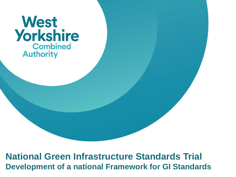#### **West Yorkshire Combined Authority**

**National Green Infrastructure Standards Trial Development of a national Framework for GI Standards**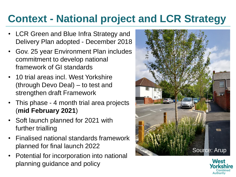# **Context - National project and LCR Strategy**

- LCR Green and Blue Infra Strategy and Delivery Plan adopted - December 2018
- Gov. 25 year Environment Plan includes commitment to develop national framework of GI standards
- 10 trial areas incl. West Yorkshire (through Devo Deal) – to test and strengthen draft Framework
- This phase 4 month trial area projects (**mid February 2021**)
- Soft launch planned for 2021 with further trialling
- Finalised national standards framework planned for final launch 2022
- Potential for incorporation into national planning guidance and policy



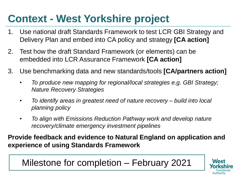# **Context - West Yorkshire project**

- 1. Use national draft Standards Framework to test LCR GBI Strategy and Delivery Plan and embed into CA policy and strategy **[CA action]**
- 2. Test how the draft Standard Framework (or elements) can be embedded into LCR Assurance Framework **[CA action]**
- 3. Use benchmarking data and new standards/tools **[CA/partners action]**
	- *To produce new mapping for regional/local strategies e.g. GBI Strategy; Nature Recovery Strategies*
	- *To identify areas in greatest need of nature recovery – build into local planning policy*
	- *To align with Emissions Reduction Pathway work and develop nature recovery/climate emergency investment pipelines*

**Provide feedback and evidence to Natural England on application and experience of using Standards Framework**

Milestone for completion – February 2021

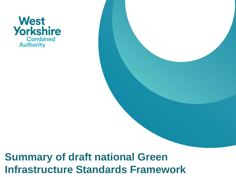

# **Summary of draft national Green Infrastructure Standards Framework**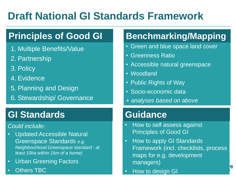# **Draft National GI Standards Framework**

#### **Principles of Good GI**

- 1. Multiple Benefits/Value
- 2. Partnership
- 3. Policy
- 4. Evidence
- 5. Planning and Design
- 6. Stewardship/ Governance

#### **GI Standards**

#### *Could include:*

- Updated Accessible Natural Greenspace Standards *e.g. Neighbourhood Greenspace standard - at least 10ha within 1km of a home)*
- Urban Greening Factors
- **Others TBC**

#### **Benchmarking/Mapping**

- Green and blue space land cover
- Greenness Ratio
- Accessible natural greenspace
- Woodland
- Public Rights of Way
- Socio-economic data
- *+ analyses based on above*

#### **Guidance**

- How to self assess against Principles of Good GI
- How to apply GI Standards Framework (incl. checklists, process maps for e.g. development managers)
- How to design GI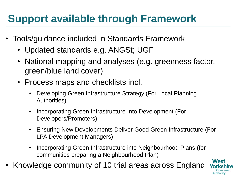# **Support available through Framework**

- Tools/guidance included in Standards Framework
	- Updated standards e.g. ANGSt; UGF
	- National mapping and analyses (e.g. greenness factor, green/blue land cover)
	- Process maps and checklists incl.
		- Developing Green Infrastructure Strategy (For Local Planning Authorities)
		- Incorporating Green Infrastructure Into Development (For Developers/Promoters)
		- Ensuring New Developments Deliver Good Green Infrastructure (For LPA Development Managers)
		- Incorporating Green Infrastructure into Neighbourhood Plans (for communities preparing a Neighbourhood Plan)
- Knowledge community of 10 trial areas across England

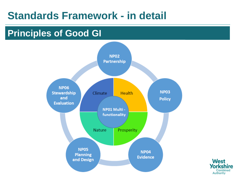#### **Principles of Good GI**



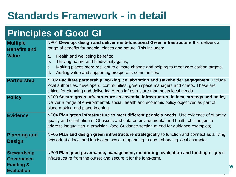#### **Principles of Good GI**

| <b>Multiple</b><br><b>Benefits and</b><br><b>Value</b>                               | NP01 Develop, design and deliver multi-functional Green infrastructure that delivers a<br>range of benefits for people, places and nature. This includes:<br>Health and wellbeing benefits;<br>a.<br>Thriving nature and biodiversity gains;<br>b.<br>Making places more resilient to climate change and helping to meet zero carbon targets;<br>C.<br>Adding value and supporting prosperous communities.<br>d. |    |  |  |  |
|--------------------------------------------------------------------------------------|------------------------------------------------------------------------------------------------------------------------------------------------------------------------------------------------------------------------------------------------------------------------------------------------------------------------------------------------------------------------------------------------------------------|----|--|--|--|
| <b>Partnership</b>                                                                   | NP02 Facilitate partnership working, collaboration and stakeholder engagement. Include<br>local authorities, developers, communities, green space managers and others. These are<br>critical for planning and delivering green infrastructure that meets local needs.                                                                                                                                            |    |  |  |  |
| <b>Policy</b>                                                                        | NP03 Secure green infrastructure as essential infrastructure in local strategy and policy.<br>Deliver a range of environmental, social, health and economic policy objectives as part of<br>place-making and place-keeping.                                                                                                                                                                                      |    |  |  |  |
| <b>Evidence</b>                                                                      | NP04 Plan green infrastructure to meet different people's needs. Use evidence of quantity,<br>quality and distribution of GI assets and data on environmental and health challenges to<br>address inequalities in provision. (see Guidance section at end for guidance examples)                                                                                                                                 |    |  |  |  |
| <b>Planning and</b><br><b>Design</b>                                                 | NP05 Plan and design green infrastructure strategically to function and connect as a living<br>network at a local and landscape scale, responding to and enhancing local character                                                                                                                                                                                                                               |    |  |  |  |
| <b>Stewardship</b><br><b>Governance</b><br><b>Funding &amp;</b><br><b>Evaluation</b> | NP06 Plan good governance, management, monitoring, evaluation and funding of green<br>infrastructure from the outset and secure it for the long-term.                                                                                                                                                                                                                                                            | 'e |  |  |  |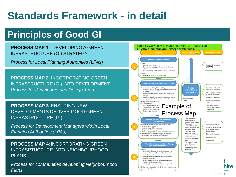#### **Principles of Good GI**

**PROCESS MAP 1**: DEVELOPING A GREEN INFRASTRUCTURE (GI) STRATEGY

*Process for Local Planning Authorities (LPAs)*

**PROCESS MAP 2**: INCORPORATING GREEN INFRASTRUCTURE (GI) INTO DEVELOPMENT *Process for Developers and Design Teams*

**PROCESS MAP 3: ENSURING NEW** DEVELOPMENTS DELIVER GOOD GREEN INFRASTRUCTURE (GI)

*Process for Development Managers within Local Planning Authorities (LPAs)*

**PROCESS MAP 4**: INCORPORATING GREEN INFRASRTUCTURE INTO NEIGHBOURHOOD PI ANS

*Process for communities developing Neighbourhood Plans*

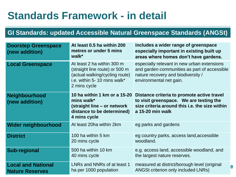#### **GI Standards: updated Accessible Natural Greenspace Standards (ANGSt)**

| <b>Doorstep Greenspace</b><br>(new addition)        | At least 0.5 ha within 200<br>metres or under 5 mins<br>walk*                                                                                 | includes a wider range of greenspace<br>especially important in existing built up<br>areas where homes don't have gardens.                                   |
|-----------------------------------------------------|-----------------------------------------------------------------------------------------------------------------------------------------------|--------------------------------------------------------------------------------------------------------------------------------------------------------------|
| <b>Local Greenspace</b>                             | At least 2 ha within 300 m<br>(straight line route) or 500 m<br>(actual walking/cycling route)<br>i.e. within 5-10 mins walk*<br>2 mins cycle | especially relevant in new urban extensions<br>and garden communities as part of accessible<br>nature recovery and biodiversity /<br>environmental net gain. |
| Neighbourhood<br>(new addition)                     | 10 ha within 1 km or a 15-20<br>mins walk*<br>(straight line – or network<br>distance to be determined)<br>4 mins cycle                       | Distance criteria to promote active travel<br>to visit greenspace. We are testing the<br>size criteria around this i.e. the size within<br>a 15-20 min walk  |
| Wider neighbourhood                                 | At least 20ha within 2km                                                                                                                      | eg parks and gardens                                                                                                                                         |
| <b>District</b>                                     | 100 ha within 5 km<br>20 mins cycle                                                                                                           | eg country parks, access land, accessible<br>woodland.                                                                                                       |
| <b>Sub-regional</b>                                 | 500 ha within 10 km<br>40 mins cycle                                                                                                          | e.g. access land, accessible woodland, and<br>the largest nature reserves.                                                                                   |
| <b>Local and National</b><br><b>Nature Reserves</b> | LNRs and NNRs of at least 1<br>ha per 1000 population                                                                                         | measured at district/borough level (original<br>е<br><b>ANGSt criterion only included LNRs)</b>                                                              |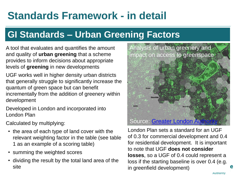#### **GI Standards – Urban Greening Factors**

A tool that evaluates and quantifies the amount and quality of **urban greening** that a scheme provides to inform decisions about appropriate levels of **greening** in new developments

UGF works well in higher density urban districts that generally struggle to significantly increase the quantum of green space but can benefit incrementally from the addition of greenery within development

Developed in London and incorporated into London Plan

Calculated by multiplying:

- the area of each type of land cover with the relevant weighting factor in the table (see table 1 as an example of a scoring table)
- summing the weighted scores
- dividing the result by the total land area of the site



London Plan sets a standard for an UGF of 0.3 for commercial development and 0.4 for residential development. It is important to note that UGF **does not consider losses**, so a UGF of 0.4 could represent a loss if the starting baseline is over 0.4 (e.g. in greenfield development)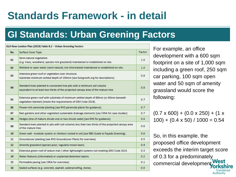#### **GI Standards: Urban Greening Factors**

| GLA New London Plan (2019) Table 8.2 - Urban Greening Factors |                                                                                                                                                               |        |  |  |  |
|---------------------------------------------------------------|---------------------------------------------------------------------------------------------------------------------------------------------------------------|--------|--|--|--|
| <b>No</b>                                                     | <b>Surface Cover Type</b>                                                                                                                                     | Factor |  |  |  |
| 01                                                            | Semi-natural vegetation<br>(e.g. trees, woodland, species-rich grassland) maintained or established on site.                                                  | 1.0    |  |  |  |
| 02 <sub>z</sub>                                               | Wetland or open water (semi-natural; not chlorinated) maintained or established on site.                                                                      | 1.0    |  |  |  |
| 03                                                            | Intensive green roof or vegetation over structure.<br>Substrate minimum settled depth of 150mm [see livingroofs.org for descriptions].                        | 0.8    |  |  |  |
| 04                                                            | Standard trees planted in connected tree pits with a minimum soil volume<br>equivalent to at least two thirds of the projected canopy area of the mature tree | 0.8    |  |  |  |
| 05                                                            | Extensive green roof with substrate of minimum settled depth of 80mm (or 60mm beneath<br>vegetation blanket) [meets the requirements of GRO Code 2014].       | 0.7    |  |  |  |
| 06                                                            | Flower-rich perennial planting [see RHS perennial plants for guidance].                                                                                       | 0.7    |  |  |  |
| 07                                                            | Rain gardens and other vegetated sustainable drainage elements [see CIRIA for case-studies]                                                                   | 0.7    |  |  |  |
| 08                                                            | Hedges (line of mature shrubs one or two shrubs wide) [see RHS for guidance].                                                                                 | 0.6    |  |  |  |
| 09                                                            | Standard trees planted in pits with soil volumes less than two thirds of the projected canopy area<br>of the mature tree.                                     | 0.6    |  |  |  |
| 10 <sup>1</sup>                                               | Green wall - modular system or climbers rooted in soil [see NBS Guide to Façade Greening].                                                                    | 0.6    |  |  |  |
| 11                                                            | Groundcover planting [see RHS Groundcover Plants for overview].                                                                                               | 0.5    |  |  |  |
| 12 <sup>2</sup>                                               | Amenity grassland (species-poor, regularly mown lawn).                                                                                                        | 0.4    |  |  |  |
| 13                                                            | Extensive green roof of sedum mat / other lightweight systems not meeting GRO Code 2014.                                                                      | 0.3    |  |  |  |
| 14                                                            | Water features (chlorinated) or unplanted detention basins.                                                                                                   | 0.2    |  |  |  |
| 15 <sup>2</sup>                                               | Permeable paving [see CIRIA for overview].                                                                                                                    | 0.1    |  |  |  |
| 16                                                            | Sealed surfaces (e.g. concrete, asphalt, waterproofing, stone).                                                                                               | 0.0    |  |  |  |

For example, an office development with a 600 sqm footprint on a site of 1,000 sqm including a green roof, 250 sqm car parking, 100 sqm open water and 50 sqm of amenity grassland would score the following:

 $(0.7 \times 600) + (0.0 \times 250) + (1 \times$  $100$ ) + (0.4 x 50) / 1000 = 0.54

So, in this example, the proposed office development exceeds the interim target score of 0.3 for a predominately commercial developmer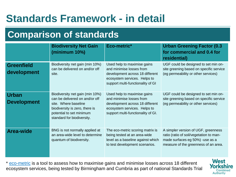#### **Comparison of standards**

|                                    | <b>Biodiversity Net Gain</b><br>(minimum 10%)                                                                                                                                         | Eco-metric*                                                                                                                                                      | <b>Urban Greening Factor (0.3</b><br>for commercial and 0.4 for<br>residential)                                                                           |
|------------------------------------|---------------------------------------------------------------------------------------------------------------------------------------------------------------------------------------|------------------------------------------------------------------------------------------------------------------------------------------------------------------|-----------------------------------------------------------------------------------------------------------------------------------------------------------|
| <b>Greenfield</b><br>development   | Biodiversity net gain (min 10%)<br>can be delivered on and/or off<br>site.                                                                                                            | Used help to maximise gains<br>and minimise losses from<br>development across 18 different<br>ecosystem services. Helps to<br>support multi-functionality of GI  | UGF could be designed to set min on-<br>site greening based on specific service<br>(eg permeability or other services)                                    |
| <b>Urban</b><br><b>Development</b> | Biodiversity net gain (min 10%)<br>can be delivered on and/or off<br>site. Where baseline<br>biodiversity is zero, there is<br>potential to set minimum<br>standard for biodiversity. | Used help to maximise gains<br>and minimise losses from<br>development across 18 different<br>ecosystem services. Helps to<br>support multi-functionality of GI. | UGF could be designed to set min on-<br>site greening based on specific service<br>(eg permeability or other services)                                    |
| <b>Area-wide</b>                   | BNG is not normally applied at<br>an area-wide level to determine<br>quantum of biodiversity.                                                                                         | The eco-metric scoring matrix is<br>being tested at an area-wide<br>level as a baseline against which<br>to test development scenarios.                          | A simpler version of UGF, greenness<br>ratio (ratio of soil/vegetation to man-<br>made surfaces eg 50%) -use as a<br>measure of the greenness of an area. |

\* [eco-metric](https://ecosystemsknowledge.net/ecometric) is a tool to assess how to maximise gains and minimise losses across 18 different ecosystem services, being tested by Birmingham and Cumbria as part of national Standards Trial

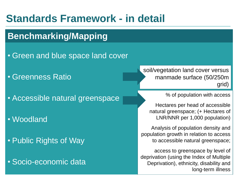#### **Benchmarking/Mapping**

- Green and blue space land cover
- Greenness Ratio
- Accessible natural greenspace
- Woodland
- Public Rights of Way
- Socio-economic data

soil/vegetation land cover versus manmade surface (50/250m grid)

% of population with access

Hectares per head of accessible natural greenspace; (+ Hectares of LNR/NNR per 1,000 population)

Analysis of population density and population growth in relation to access to accessible natural greenspace;

access to greenspace by level of deprivation (using the Index of Multiple Deprivation), ethnicity, disability and long-term illness